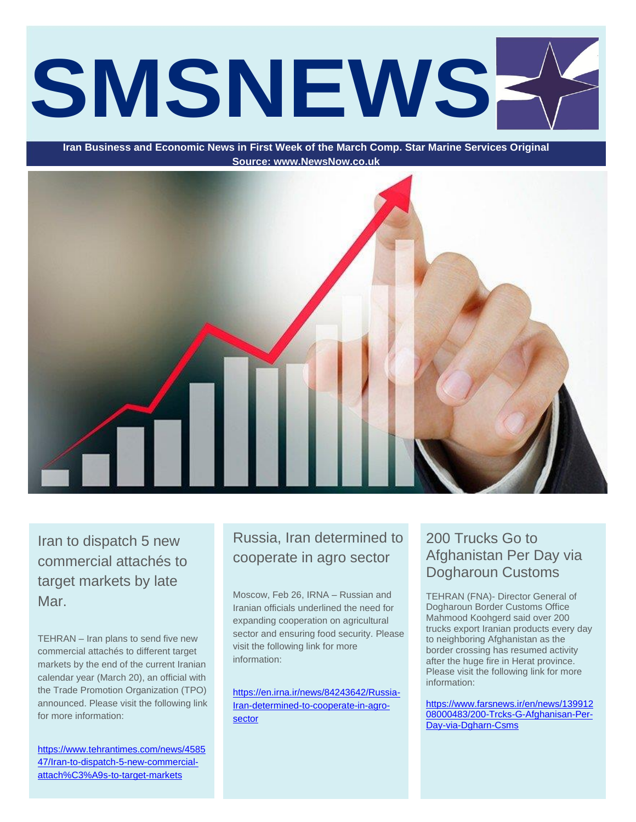# **SMSNEWS**

**Iran Business and Economic News in First Week of the March Comp. Star Marine Services Original Source: www.NewsNow.co.uk**



Iran to dispatch 5 new commercial attachés to target markets by late Mar.

TEHRAN – Iran plans to send five new commercial attachés to different target markets by the end of the current Iranian calendar year (March 20), an official with the Trade Promotion Organization (TPO) announced. Please visit the following link for more information:

[https://www.tehrantimes.com/news/4585](https://www.tehrantimes.com/news/458547/Iran-to-dispatch-5-new-commercial-attach%C3%A9s-to-target-markets) [47/Iran-to-dispatch-5-new-commercial](https://www.tehrantimes.com/news/458547/Iran-to-dispatch-5-new-commercial-attach%C3%A9s-to-target-markets)[attach%C3%A9s-to-target-markets](https://www.tehrantimes.com/news/458547/Iran-to-dispatch-5-new-commercial-attach%C3%A9s-to-target-markets)

# Russia, Iran determined to cooperate in agro sector

Moscow, Feb 26, IRNA – Russian and Iranian officials underlined the need for expanding cooperation on agricultural sector and ensuring food security. Please visit the following link for more information:

[https://en.irna.ir/news/84243642/Russia-](https://en.irna.ir/news/84243642/Russia-Iran-determined-to-cooperate-in-agro-sector)[Iran-determined-to-cooperate-in-agro](https://en.irna.ir/news/84243642/Russia-Iran-determined-to-cooperate-in-agro-sector)[sector](https://en.irna.ir/news/84243642/Russia-Iran-determined-to-cooperate-in-agro-sector)

# 200 Trucks Go to Afghanistan Per Day via Dogharoun Customs

TEHRAN (FNA)- Director General of Dogharoun Border Customs Office Mahmood Koohgerd said over 200 trucks export Iranian products every day to neighboring Afghanistan as the border crossing has resumed activity after the huge fire in Herat province. Please visit the following link for more information:

[https://www.farsnews.ir/en/news/139912](https://www.farsnews.ir/en/news/13991208000483/200-Trcks-G-Afghanisan-Per-Day-via-Dgharn-Csms) [08000483/200-Trcks-G-Afghanisan-Per-](https://www.farsnews.ir/en/news/13991208000483/200-Trcks-G-Afghanisan-Per-Day-via-Dgharn-Csms)[Day-via-Dgharn-Csms](https://www.farsnews.ir/en/news/13991208000483/200-Trcks-G-Afghanisan-Per-Day-via-Dgharn-Csms)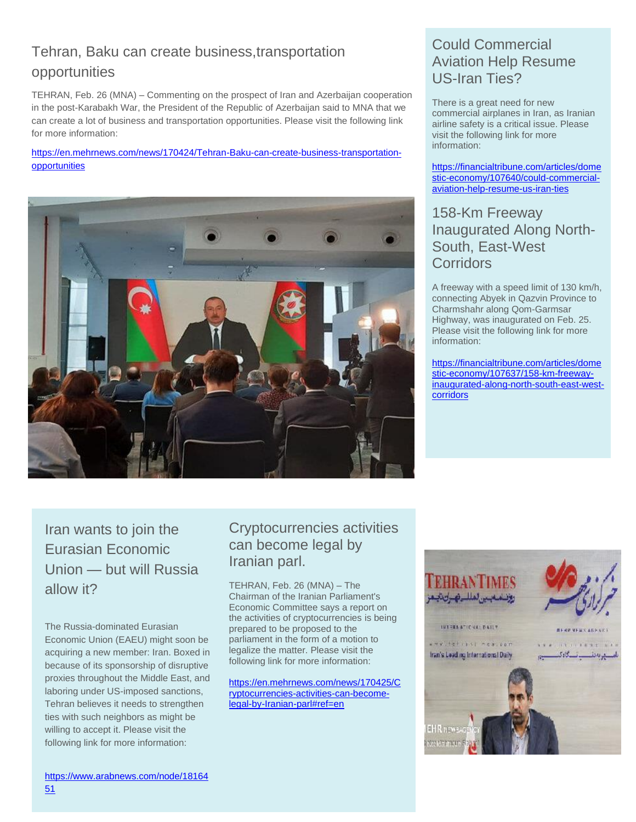# Tehran, Baku can create business,transportation opportunities

TEHRAN, Feb. 26 (MNA) – Commenting on the prospect of Iran and Azerbaijan cooperation in the post-Karabakh War, the President of the Republic of Azerbaijan said to MNA that we can create a lot of business and transportation opportunities. Please visit the following link for more information:

[https://en.mehrnews.com/news/170424/Tehran-Baku-can-create-business-transportation](https://en.mehrnews.com/news/170424/Tehran-Baku-can-create-business-transportation-opportunities)[opportunities](https://en.mehrnews.com/news/170424/Tehran-Baku-can-create-business-transportation-opportunities)



# Could Commercial Aviation Help Resume US-Iran Ties?

There is a great need for new commercial airplanes in Iran, as Iranian airline safety is a critical issue. Please visit the following link for more information:

[https://financialtribune.com/articles/dome](https://financialtribune.com/articles/domestic-economy/107640/could-commercial-aviation-help-resume-us-iran-ties) [stic-economy/107640/could-commercial](https://financialtribune.com/articles/domestic-economy/107640/could-commercial-aviation-help-resume-us-iran-ties)[aviation-help-resume-us-iran-ties](https://financialtribune.com/articles/domestic-economy/107640/could-commercial-aviation-help-resume-us-iran-ties)

#### 158-Km Freeway Inaugurated Along North-South, East-West **Corridors**

A freeway with a speed limit of 130 km/h, connecting Abyek in Qazvin Province to Charmshahr along Qom-Garmsar Highway, was inaugurated on Feb. 25. Please visit the following link for more information:

[https://financialtribune.com/articles/dome](https://financialtribune.com/articles/domestic-economy/107637/158-km-freeway-inaugurated-along-north-south-east-west-corridors) [stic-economy/107637/158-km-freeway](https://financialtribune.com/articles/domestic-economy/107637/158-km-freeway-inaugurated-along-north-south-east-west-corridors)[inaugurated-along-north-south-east-west](https://financialtribune.com/articles/domestic-economy/107637/158-km-freeway-inaugurated-along-north-south-east-west-corridors)[corridors](https://financialtribune.com/articles/domestic-economy/107637/158-km-freeway-inaugurated-along-north-south-east-west-corridors)

Iran wants to join the Eurasian Economic Union — but will Russia allow it?

The Russia-dominated Eurasian Economic Union (EAEU) might soon be acquiring a new member: Iran. Boxed in because of its sponsorship of disruptive proxies throughout the Middle East, and laboring under US-imposed sanctions, Tehran believes it needs to strengthen ties with such neighbors as might be willing to accept it. Please visit the following link for more information:

# Cryptocurrencies activities can become legal by Iranian parl.

TEHRAN, Feb. 26 (MNA) – The Chairman of the Iranian Parliament's Economic Committee says a report on the activities of cryptocurrencies is being prepared to be proposed to the parliament in the form of a motion to legalize the matter. Please visit the following link for more information:

[https://en.mehrnews.com/news/170425/C](https://en.mehrnews.com/news/170425/Cryptocurrencies-activities-can-become-legal-by-Iranian-parl#ref=en) [ryptocurrencies-activities-can-become](https://en.mehrnews.com/news/170425/Cryptocurrencies-activities-can-become-legal-by-Iranian-parl#ref=en)[legal-by-Iranian-parl#ref=en](https://en.mehrnews.com/news/170425/Cryptocurrencies-activities-can-become-legal-by-Iranian-parl#ref=en)

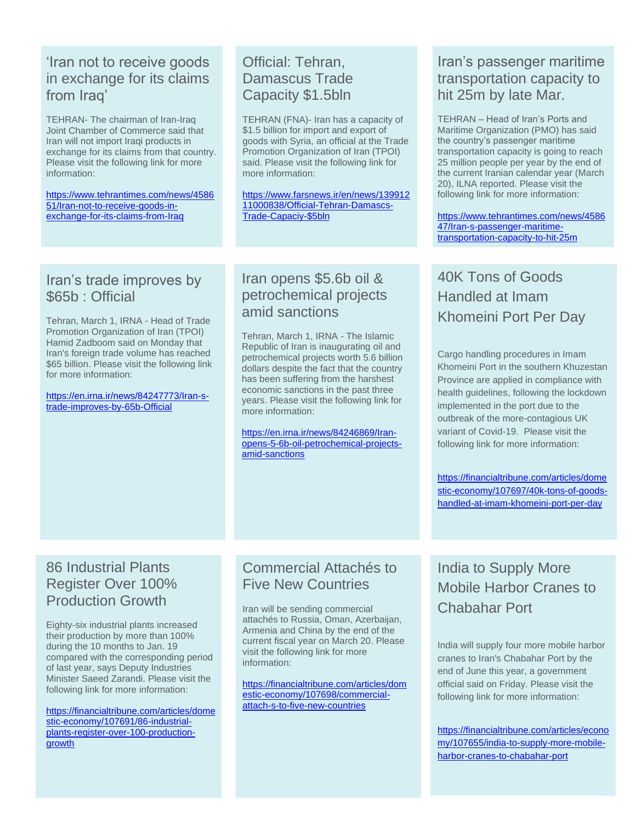#### 'Iran not to receive goods in exchange for its claims from Iraq'

TEHRAN- The chairman of Iran-Iraq Joint Chamber of Commerce said that Iran will not import Iraqi products in exchange for its claims from that country. Please visit the following link for more information:

[https://www.tehrantimes.com/news/4586](https://www.tehrantimes.com/news/458651/Iran-not-to-receive-goods-in-exchange-for-its-claims-from-Iraq) [51/Iran-not-to-receive-goods-in](https://www.tehrantimes.com/news/458651/Iran-not-to-receive-goods-in-exchange-for-its-claims-from-Iraq)[exchange-for-its-claims-from-Iraq](https://www.tehrantimes.com/news/458651/Iran-not-to-receive-goods-in-exchange-for-its-claims-from-Iraq)

# Official: Tehran, Damascus Trade Capacity \$1.5bln

TEHRAN (FNA)- Iran has a capacity of \$1.5 billion for import and export of goods with Syria, an official at the Trade Promotion Organization of Iran (TPOI) said. Please visit the following link for more information:

[https://www.farsnews.ir/en/news/139912](https://www.farsnews.ir/en/news/13991211000838/Official-Tehran-Damascs-Trade-Capaciy-$5bln) [11000838/Official-Tehran-Damascs-](https://www.farsnews.ir/en/news/13991211000838/Official-Tehran-Damascs-Trade-Capaciy-$5bln)[Trade-Capaciy-\\$5bln](https://www.farsnews.ir/en/news/13991211000838/Official-Tehran-Damascs-Trade-Capaciy-$5bln)

# Iran's trade improves by \$65b : Official

Tehran, March 1, IRNA - Head of Trade Promotion Organization of Iran (TPOI) Hamid Zadboom said on Monday that Iran's foreign trade volume has reached \$65 billion. Please visit the following link for more information:

[https://en.irna.ir/news/84247773/Iran-s](https://en.irna.ir/news/84247773/Iran-s-trade-improves-by-65b-Official)[trade-improves-by-65b-Official](https://en.irna.ir/news/84247773/Iran-s-trade-improves-by-65b-Official)

# Iran opens \$5.6b oil & petrochemical projects amid sanctions

Tehran, March 1, IRNA - The Islamic Republic of Iran is inaugurating oil and petrochemical projects worth 5.6 billion dollars despite the fact that the country has been suffering from the harshest economic sanctions in the past three years. Please visit the following link for more information:

[https://en.irna.ir/news/84246869/Iran](https://en.irna.ir/news/84246869/Iran-opens-5-6b-oil-petrochemical-projects-amid-sanctions)[opens-5-6b-oil-petrochemical-projects](https://en.irna.ir/news/84246869/Iran-opens-5-6b-oil-petrochemical-projects-amid-sanctions)[amid-sanctions](https://en.irna.ir/news/84246869/Iran-opens-5-6b-oil-petrochemical-projects-amid-sanctions)

# Iran's passenger maritime transportation capacity to hit 25m by late Mar.

TEHRAN – Head of Iran's Ports and Maritime Organization (PMO) has said the country's passenger maritime transportation capacity is going to reach 25 million people per year by the end of the current Iranian calendar year (March 20), ILNA reported. Please visit the following link for more information:

[https://www.tehrantimes.com/news/4586](https://www.tehrantimes.com/news/458647/Iran-s-passenger-maritime-transportation-capacity-to-hit-25m) [47/Iran-s-passenger-maritime](https://www.tehrantimes.com/news/458647/Iran-s-passenger-maritime-transportation-capacity-to-hit-25m)[transportation-capacity-to-hit-25m](https://www.tehrantimes.com/news/458647/Iran-s-passenger-maritime-transportation-capacity-to-hit-25m)

40K Tons of Goods Handled at Imam Khomeini Port Per Day

Cargo handling procedures in Imam Khomeini Port in the southern Khuzestan Province are applied in compliance with health guidelines, following the lockdown implemented in the port due to the outbreak of the more-contagious UK variant of Covid-19. Please visit the following link for more information:

[https://financialtribune.com/articles/dome](https://financialtribune.com/articles/domestic-economy/107697/40k-tons-of-goods-handled-at-imam-khomeini-port-per-day) [stic-economy/107697/40k-tons-of-goods](https://financialtribune.com/articles/domestic-economy/107697/40k-tons-of-goods-handled-at-imam-khomeini-port-per-day)[handled-at-imam-khomeini-port-per-day](https://financialtribune.com/articles/domestic-economy/107697/40k-tons-of-goods-handled-at-imam-khomeini-port-per-day)

# 86 Industrial Plants Register Over 100% Production Growth

Eighty-six industrial plants increased their production by more than 100% during the 10 months to Jan. 19 compared with the corresponding period of last year, says Deputy Industries Minister Saeed Zarandi. Please visit the following link for more information:

[https://financialtribune.com/articles/dome](https://financialtribune.com/articles/domestic-economy/107691/86-industrial-plants-register-over-100-production-growth) [stic-economy/107691/86-industrial](https://financialtribune.com/articles/domestic-economy/107691/86-industrial-plants-register-over-100-production-growth)[plants-register-over-100-production](https://financialtribune.com/articles/domestic-economy/107691/86-industrial-plants-register-over-100-production-growth)[growth](https://financialtribune.com/articles/domestic-economy/107691/86-industrial-plants-register-over-100-production-growth)

#### Commercial Attachés to Five New Countries

Iran will be sending commercial attachés to Russia, Oman, Azerbaijan, Armenia and China by the end of the current fiscal year on March 20. Please visit the following link for more information:

[https://financialtribune.com/articles/dom](https://financialtribune.com/articles/domestic-economy/107698/commercial-attach-s-to-five-new-countries) [estic-economy/107698/commercial](https://financialtribune.com/articles/domestic-economy/107698/commercial-attach-s-to-five-new-countries)[attach-s-to-five-new-countries](https://financialtribune.com/articles/domestic-economy/107698/commercial-attach-s-to-five-new-countries)

# India to Supply More Mobile Harbor Cranes to Chabahar Port

India will supply four more mobile harbor cranes to Iran's Chabahar Port by the end of June this year, a government official said on Friday. Please visit the following link for more information:

[https://financialtribune.com/articles/econo](https://financialtribune.com/articles/economy/107655/india-to-supply-more-mobile-harbor-cranes-to-chabahar-port) [my/107655/india-to-supply-more-mobile](https://financialtribune.com/articles/economy/107655/india-to-supply-more-mobile-harbor-cranes-to-chabahar-port)[harbor-cranes-to-chabahar-port](https://financialtribune.com/articles/economy/107655/india-to-supply-more-mobile-harbor-cranes-to-chabahar-port)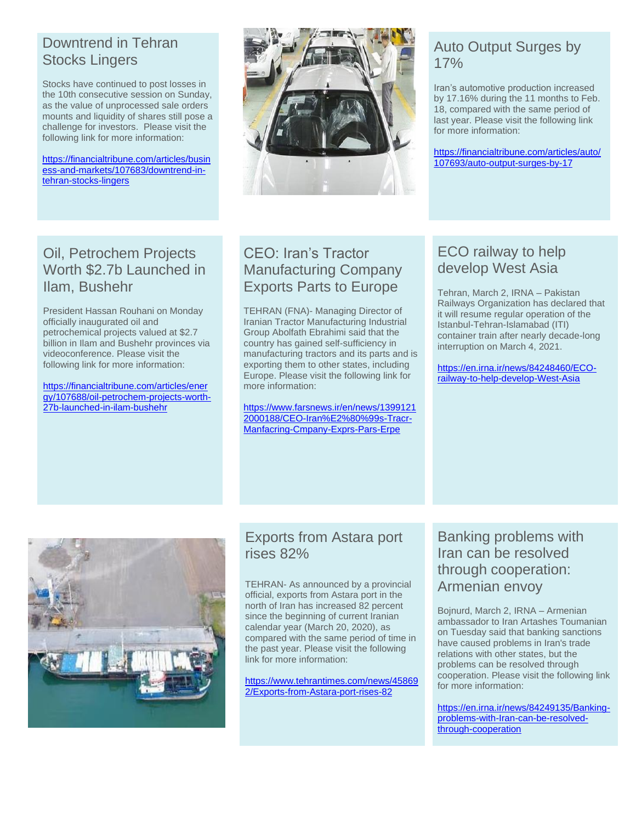# Downtrend in Tehran Stocks Lingers

Stocks have continued to post losses in the 10th consecutive session on Sunday, as the value of unprocessed sale orders mounts and liquidity of shares still pose a challenge for investors. Please visit the following link for more information:

[https://financialtribune.com/articles/busin](https://financialtribune.com/articles/business-and-markets/107683/downtrend-in-tehran-stocks-lingers) [ess-and-markets/107683/downtrend-in](https://financialtribune.com/articles/business-and-markets/107683/downtrend-in-tehran-stocks-lingers)[tehran-stocks-lingers](https://financialtribune.com/articles/business-and-markets/107683/downtrend-in-tehran-stocks-lingers)



# Auto Output Surges by 17%

Iran's automotive production increased by 17.16% during the 11 months to Feb. 18, compared with the same period of last year. Please visit the following link for more information:

[https://financialtribune.com/articles/auto/](https://financialtribune.com/articles/auto/107693/auto-output-surges-by-17) [107693/auto-output-surges-by-17](https://financialtribune.com/articles/auto/107693/auto-output-surges-by-17)

# Oil, Petrochem Projects Worth \$2.7b Launched in Ilam, Bushehr

President Hassan Rouhani on Monday officially inaugurated oil and petrochemical projects valued at \$2.7 billion in Ilam and Bushehr provinces via videoconference. Please visit the following link for more information:

[https://financialtribune.com/articles/ener](https://financialtribune.com/articles/energy/107688/oil-petrochem-projects-worth-27b-launched-in-ilam-bushehr) [gy/107688/oil-petrochem-projects-worth-](https://financialtribune.com/articles/energy/107688/oil-petrochem-projects-worth-27b-launched-in-ilam-bushehr)[27b-launched-in-ilam-bushehr](https://financialtribune.com/articles/energy/107688/oil-petrochem-projects-worth-27b-launched-in-ilam-bushehr)

# CEO: Iran's Tractor Manufacturing Company Exports Parts to Europe

TEHRAN (FNA)- Managing Director of Iranian Tractor Manufacturing Industrial Group Abolfath Ebrahimi said that the country has gained self-sufficiency in manufacturing tractors and its parts and is exporting them to other states, including Europe. Please visit the following link for more information:

[https://www.farsnews.ir/en/news/1399121](https://www.farsnews.ir/en/news/13991212000188/CEO-Iran%E2%80%99s-Tracr-Manfacring-Cmpany-Exprs-Pars-Erpe) [2000188/CEO-Iran%E2%80%99s-Tracr-](https://www.farsnews.ir/en/news/13991212000188/CEO-Iran%E2%80%99s-Tracr-Manfacring-Cmpany-Exprs-Pars-Erpe)[Manfacring-Cmpany-Exprs-Pars-Erpe](https://www.farsnews.ir/en/news/13991212000188/CEO-Iran%E2%80%99s-Tracr-Manfacring-Cmpany-Exprs-Pars-Erpe)

#### ECO railway to help develop West Asia

Tehran, March 2, IRNA – Pakistan Railways Organization has declared that it will resume regular operation of the Istanbul-Tehran-Islamabad (ITI) container train after nearly decade-long interruption on March 4, 2021.

[https://en.irna.ir/news/84248460/ECO](https://en.irna.ir/news/84248460/ECO-railway-to-help-develop-West-Asia)[railway-to-help-develop-West-Asia](https://en.irna.ir/news/84248460/ECO-railway-to-help-develop-West-Asia)



# Exports from Astara port rises 82%

TEHRAN- As announced by a provincial official, exports from Astara port in the north of Iran has increased 82 percent since the beginning of current Iranian calendar year (March 20, 2020), as compared with the same period of time in the past year. Please visit the following link for more information:

[https://www.tehrantimes.com/news/45869](https://www.tehrantimes.com/news/458692/Exports-from-Astara-port-rises-82) [2/Exports-from-Astara-port-rises-82](https://www.tehrantimes.com/news/458692/Exports-from-Astara-port-rises-82)

#### Banking problems with Iran can be resolved through cooperation: Armenian envoy

Bojnurd, March 2, IRNA – Armenian ambassador to Iran Artashes Toumanian on Tuesday said that banking sanctions have caused problems in Iran's trade relations with other states, but the problems can be resolved through cooperation. Please visit the following link for more information:

[https://en.irna.ir/news/84249135/Banking](https://en.irna.ir/news/84249135/Banking-problems-with-Iran-can-be-resolved-through-cooperation)[problems-with-Iran-can-be-resolved](https://en.irna.ir/news/84249135/Banking-problems-with-Iran-can-be-resolved-through-cooperation)[through-cooperation](https://en.irna.ir/news/84249135/Banking-problems-with-Iran-can-be-resolved-through-cooperation)